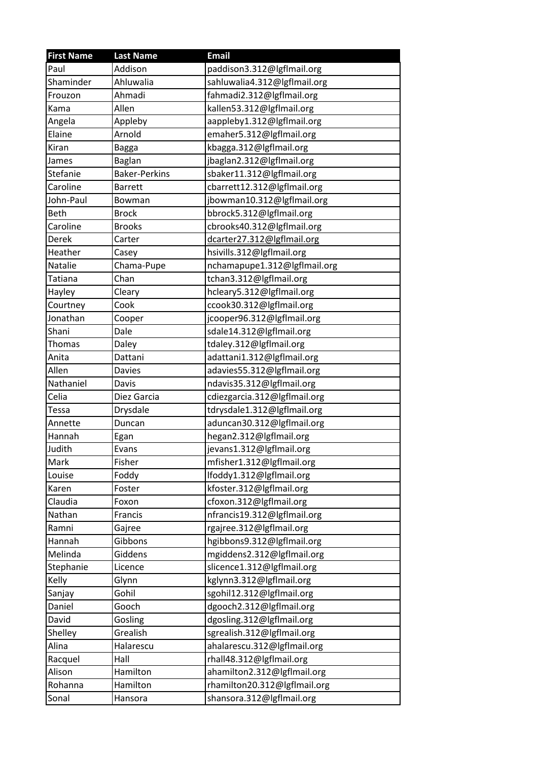| <b>First Name</b> | <b>Last Name</b>     | <b>Email</b>                 |
|-------------------|----------------------|------------------------------|
| Paul              | Addison              | paddison3.312@lgflmail.org   |
| Shaminder         | Ahluwalia            | sahluwalia4.312@lgflmail.org |
| Frouzon           | Ahmadi               | fahmadi2.312@lgflmail.org    |
| Kama              | Allen                | kallen53.312@lgflmail.org    |
| Angela            | Appleby              | aappleby1.312@lgflmail.org   |
| Elaine            | Arnold               | emaher5.312@lgflmail.org     |
| Kiran             | <b>Bagga</b>         | kbagga.312@lgflmail.org      |
| James             | Baglan               | jbaglan2.312@lgflmail.org    |
| Stefanie          | <b>Baker-Perkins</b> | sbaker11.312@lgflmail.org    |
| Caroline          | <b>Barrett</b>       | cbarrett12.312@lgflmail.org  |
| John-Paul         | Bowman               | jbowman10.312@lgflmail.org   |
| Beth              | <b>Brock</b>         | bbrock5.312@lgflmail.org     |
| Caroline          | <b>Brooks</b>        | cbrooks40.312@lgflmail.org   |
| Derek             | Carter               | dcarter27.312@lgflmail.org   |
| Heather           | Casey                | hsivills.312@lgflmail.org    |
| Natalie           | Chama-Pupe           | nchamapupe1.312@lgflmail.org |
| Tatiana           | Chan                 | tchan3.312@lgflmail.org      |
| Hayley            | Cleary               | hcleary5.312@lgflmail.org    |
| Courtney          | Cook                 | ccook30.312@lgflmail.org     |
| Jonathan          | Cooper               | jcooper96.312@lgflmail.org   |
| Shani             | Dale                 | sdale14.312@lgflmail.org     |
| Thomas            | Daley                | tdaley.312@lgflmail.org      |
| Anita             | Dattani              | adattani1.312@lgflmail.org   |
| Allen             | Davies               | adavies55.312@lgflmail.org   |
| Nathaniel         | Davis                | ndavis35.312@lgflmail.org    |
| Celia             | Diez Garcia          | cdiezgarcia.312@lgflmail.org |
| <b>Tessa</b>      | Drysdale             | tdrysdale1.312@lgflmail.org  |
| Annette           | Duncan               | aduncan30.312@lgflmail.org   |
| Hannah            | Egan                 | hegan2.312@lgflmail.org      |
| Judith            | Evans                | jevans1.312@lgflmail.org     |
| Mark              | Fisher               | mfisher1.312@lgflmail.org    |
| Louise            | Foddy                | lfoddy1.312@lgflmail.org     |
| Karen             | Foster               | kfoster.312@lgflmail.org     |
| Claudia           | Foxon                | cfoxon.312@lgflmail.org      |
| Nathan            | Francis              | nfrancis19.312@lgflmail.org  |
| Ramni             | Gajree               | rgajree.312@lgflmail.org     |
| Hannah            | Gibbons              | hgibbons9.312@lgflmail.org   |
| Melinda           | Giddens              | mgiddens2.312@lgflmail.org   |
| Stephanie         | Licence              | slicence1.312@lgflmail.org   |
| Kelly             | Glynn                | kglynn3.312@lgflmail.org     |
| Sanjay            | Gohil                | sgohil12.312@lgflmail.org    |
| Daniel            | Gooch                | dgooch2.312@lgflmail.org     |
| David             | Gosling              | dgosling.312@lgflmail.org    |
| Shelley           | Grealish             | sgrealish.312@lgflmail.org   |
| Alina             | Halarescu            | ahalarescu.312@lgflmail.org  |
| Racquel           | Hall                 | rhall48.312@lgflmail.org     |
| Alison            | Hamilton             | ahamilton2.312@lgflmail.org  |
| Rohanna           | Hamilton             | rhamilton20.312@lgflmail.org |
| Sonal             | Hansora              | shansora.312@lgflmail.org    |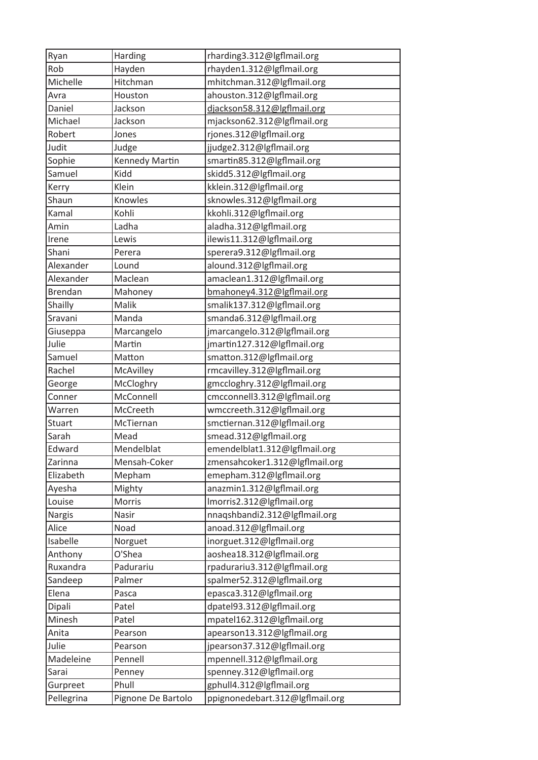| Ryan           | <b>Harding</b>     | rharding3.312@lgflmail.org      |
|----------------|--------------------|---------------------------------|
| Rob            | Hayden             | rhayden1.312@lgflmail.org       |
| Michelle       | Hitchman           | mhitchman.312@lgflmail.org      |
| Avra           | Houston            | ahouston.312@lgflmail.org       |
| Daniel         | Jackson            | djackson58.312@lgflmail.org     |
| Michael        | Jackson            | mjackson62.312@lgflmail.org     |
| Robert         | Jones              | rjones.312@lgflmail.org         |
| Judit          | Judge              | jjudge2.312@lgflmail.org        |
| Sophie         | Kennedy Martin     | smartin85.312@lgflmail.org      |
| Samuel         | Kidd               | skidd5.312@lgflmail.org         |
| Kerry          | Klein              | kklein.312@lgflmail.org         |
| Shaun          | Knowles            | sknowles.312@lgflmail.org       |
| Kamal          | Kohli              | kkohli.312@lgflmail.org         |
| Amin           | Ladha              | aladha.312@lgflmail.org         |
| Irene          | Lewis              | ilewis11.312@lgflmail.org       |
| Shani          | Perera             | sperera9.312@lgflmail.org       |
| Alexander      | Lound              | alound.312@lgflmail.org         |
| Alexander      | Maclean            | amaclean1.312@lgflmail.org      |
| <b>Brendan</b> | Mahoney            | bmahoney4.312@lgflmail.org      |
| Shailly        | Malik              | smalik137.312@lgflmail.org      |
| Sravani        | Manda              | smanda6.312@lgflmail.org        |
| Giuseppa       | Marcangelo         | jmarcangelo.312@lgflmail.org    |
| Julie          | Martin             | jmartin127.312@lgflmail.org     |
| Samuel         | Matton             | smatton.312@lgflmail.org        |
| Rachel         | McAvilley          | rmcavilley.312@lgflmail.org     |
| George         | McCloghry          | gmccloghry.312@lgflmail.org     |
| Conner         | McConnell          | cmcconnell3.312@lgflmail.org    |
| Warren         | McCreeth           | wmccreeth.312@lgflmail.org      |
| <b>Stuart</b>  | McTiernan          | smctiernan.312@lgflmail.org     |
| Sarah          | Mead               | smead.312@lgflmail.org          |
| Edward         | Mendelblat         | emendelblat1.312@lgflmail.org   |
| Zarinna        | Mensah-Coker       | zmensahcoker1.312@lgflmail.org  |
| Elizabeth      | Mepham             | emepham.312@lgflmail.org        |
| Ayesha         | Mighty             | anazmin1.312@lgflmail.org       |
| Louise         | Morris             | Imorris2.312@lgflmail.org       |
| <b>Nargis</b>  | Nasir              | nnaqshbandi2.312@lgflmail.org   |
| Alice          | Noad               | anoad.312@lgflmail.org          |
| Isabelle       | Norguet            | inorguet.312@lgflmail.org       |
| Anthony        | O'Shea             | aoshea18.312@lgflmail.org       |
| Ruxandra       | Padurariu          | rpadurariu3.312@lgflmail.org    |
| Sandeep        | Palmer             | spalmer52.312@lgflmail.org      |
| Elena          | Pasca              | epasca3.312@lgflmail.org        |
| Dipali         | Patel              | dpatel93.312@lgflmail.org       |
| Minesh         | Patel              | mpatel162.312@lgflmail.org      |
| Anita          | Pearson            | apearson13.312@lgflmail.org     |
| Julie          | Pearson            | jpearson37.312@lgflmail.org     |
| Madeleine      | Pennell            | mpennell.312@lgflmail.org       |
| Sarai          | Penney             | spenney.312@lgflmail.org        |
| Gurpreet       | Phull              | gphull4.312@lgflmail.org        |
| Pellegrina     | Pignone De Bartolo | ppignonedebart.312@lgflmail.org |